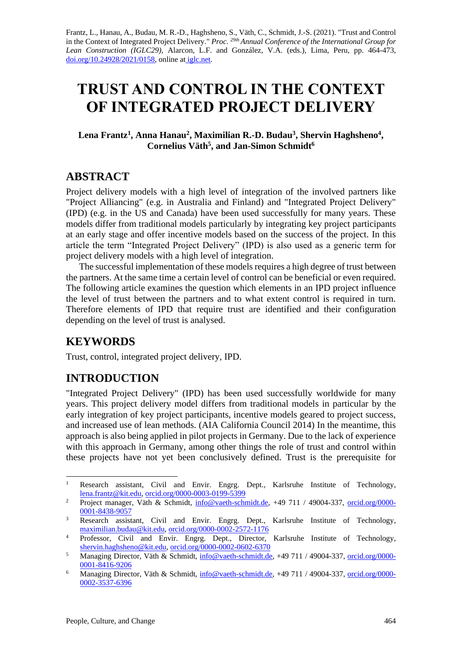Frantz, L., Hanau, A., Budau, M. R.-D., Haghsheno, S., Väth, C., Schmidt, J.-S. (2021). "Trust and Control in the Context of Integrated Project Delivery." *Proc. 29th Annual Conference of the International Group for Lean Construction (IGLC29),* Alarcon, L.F. and González, V.A. (eds.)*,* Lima, Peru, pp. 464-473, [doi.org/10.24928/2021/0158,](https://doi.org/10.24928/2021/0158) online at [iglc.net.](http://iglc.net/)

# **TRUST AND CONTROL IN THE CONTEXT OF INTEGRATED PROJECT DELIVERY**

Lena Frantz<sup>1</sup>, Anna Hanau<sup>2</sup>, Maximilian R.-D. Budau<sup>3</sup>, Shervin Haghsheno<sup>4</sup>, **Cornelius Väth<sup>5</sup> , and Jan-Simon Schmidt<sup>6</sup>**

# **ABSTRACT**

Project delivery models with a high level of integration of the involved partners like "Project Alliancing" (e.g. in Australia and Finland) and "Integrated Project Delivery" (IPD) (e.g. in the US and Canada) have been used successfully for many years. These models differ from traditional models particularly by integrating key project participants at an early stage and offer incentive models based on the success of the project. In this article the term "Integrated Project Delivery" (IPD) is also used as a generic term for project delivery models with a high level of integration.

The successful implementation of these models requires a high degree of trust between the partners. At the same time a certain level of control can be beneficial or even required. The following article examines the question which elements in an IPD project influence the level of trust between the partners and to what extent control is required in turn. Therefore elements of IPD that require trust are identified and their configuration depending on the level of trust is analysed.

# **KEYWORDS**

Trust, control, integrated project delivery, IPD.

# **INTRODUCTION**

"Integrated Project Delivery" (IPD) has been used successfully worldwide for many years. This project delivery model differs from traditional models in particular by the early integration of key project participants, incentive models geared to project success, and increased use of lean methods. (AIA California Council 2014) In the meantime, this approach is also being applied in pilot projects in Germany. Due to the lack of experience with this approach in Germany, among other things the role of trust and control within these projects have not yet been conclusively defined. Trust is the prerequisite for

<sup>&</sup>lt;sup>1</sup> Research assistant, Civil and Envir. Engrg. Dept., Karlsruhe Institute of Technology, [lena.frantz@kit.edu,](mailto:lena.frantz@kit.edu) [orcid.org/0000-0003-0199-5399](https://orcid.org/0000-0003-0199-5399)

<sup>&</sup>lt;sup>2</sup> Project manager, Väth & Schmidt, [info@vaeth-schmidt.de,](mailto:info@vaeth-schmidt.de) +49 711 / 49004-337, [orcid.org/0000-](https://orcid.org/0000-0001-8438-9057) [0001-8438-9057](https://orcid.org/0000-0001-8438-9057)

<sup>&</sup>lt;sup>3</sup> Research assistant, Civil and Envir. Engrg. Dept., Karlsruhe Institute of Technology, [maximilian.budau@kit.edu,](mailto:maximilian.budau@kit.edu) [orcid.org/0000-0002-2572-1176](https://orcid.org/0000-0002-2572-1176)

<sup>&</sup>lt;sup>4</sup> Professor, Civil and Envir. Engrg. Dept., Director, Karlsruhe Institute of Technology, [shervin.haghsheno@kit.edu,](mailto:shervin.haghsheno@kit.edu) [orcid.org/0000-0002-0602-6370](https://orcid.org/0000-0002-0602-6370)

<sup>5</sup> Managing Director, Väth & Schmidt, [info@vaeth-schmidt.de,](mailto:info@vaeth-schmidt.de) +49 711 / 49004-337, [orcid.org/0000-](https://orcid.org/0000-0001-8416-9206) [0001-8416-9206](https://orcid.org/0000-0001-8416-9206)

<sup>6</sup> Managing Director, Väth & Schmidt, [info@vaeth-schmidt.de,](mailto:info@vaeth-schmidt.de) +49 711 / 49004-337, [orcid.org/0000-](https://orcid.org/0000-0002-3537-6396) [0002-3537-6396](https://orcid.org/0000-0002-3537-6396)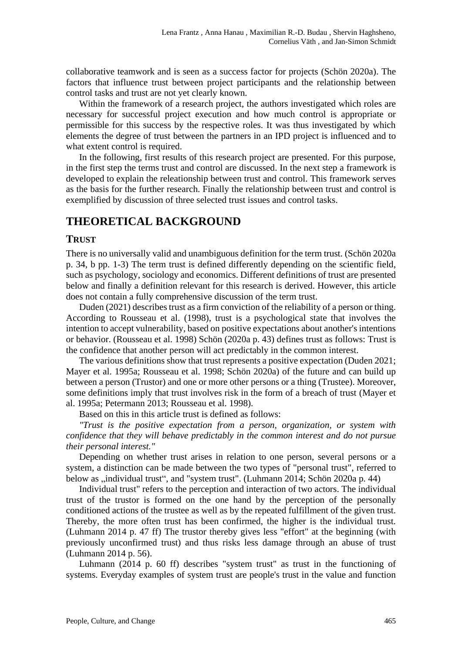collaborative teamwork and is seen as a success factor for projects (Schön 2020a). The factors that influence trust between project participants and the relationship between control tasks and trust are not yet clearly known.

Within the framework of a research project, the authors investigated which roles are necessary for successful project execution and how much control is appropriate or permissible for this success by the respective roles. It was thus investigated by which elements the degree of trust between the partners in an IPD project is influenced and to what extent control is required.

In the following, first results of this research project are presented. For this purpose, in the first step the terms trust and control are discussed. In the next step a framework is developed to explain the releationship between trust and control. This framework serves as the basis for the further research. Finally the relationship between trust and control is exemplified by discussion of three selected trust issues and control tasks.

# **THEORETICAL BACKGROUND**

#### **TRUST**

There is no universally valid and unambiguous definition for the term trust. (Schön 2020a p. 34, b pp. 1-3) The term trust is defined differently depending on the scientific field, such as psychology, sociology and economics. Different definitions of trust are presented below and finally a definition relevant for this research is derived. However, this article does not contain a fully comprehensive discussion of the term trust.

Duden (2021) describes trust as a firm conviction of the reliability of a person or thing. According to Rousseau et al. (1998), trust is a psychological state that involves the intention to accept vulnerability, based on positive expectations about another's intentions or behavior. (Rousseau et al. 1998) Schön (2020a p. 43) defines trust as follows: Trust is the confidence that another person will act predictably in the common interest.

The various definitions show that trust represents a positive expectation (Duden 2021; Mayer et al. 1995a; Rousseau et al. 1998; Schön 2020a) of the future and can build up between a person (Trustor) and one or more other persons or a thing (Trustee). Moreover, some definitions imply that trust involves risk in the form of a breach of trust (Mayer et al. 1995a; Petermann 2013; Rousseau et al. 1998).

Based on this in this article trust is defined as follows:

*"Trust is the positive expectation from a person, organization, or system with confidence that they will behave predictably in the common interest and do not pursue their personal interest."*

Depending on whether trust arises in relation to one person, several persons or a system, a distinction can be made between the two types of "personal trust", referred to below as "individual trust", and "system trust". (Luhmann 2014; Schön 2020a p. 44)

Individual trust" refers to the perception and interaction of two actors. The individual trust of the trustor is formed on the one hand by the perception of the personally conditioned actions of the trustee as well as by the repeated fulfillment of the given trust. Thereby, the more often trust has been confirmed, the higher is the individual trust. (Luhmann 2014 p. 47 ff) The trustor thereby gives less "effort" at the beginning (with previously unconfirmed trust) and thus risks less damage through an abuse of trust (Luhmann 2014 p. 56).

Luhmann (2014 p. 60 ff) describes "system trust" as trust in the functioning of systems. Everyday examples of system trust are people's trust in the value and function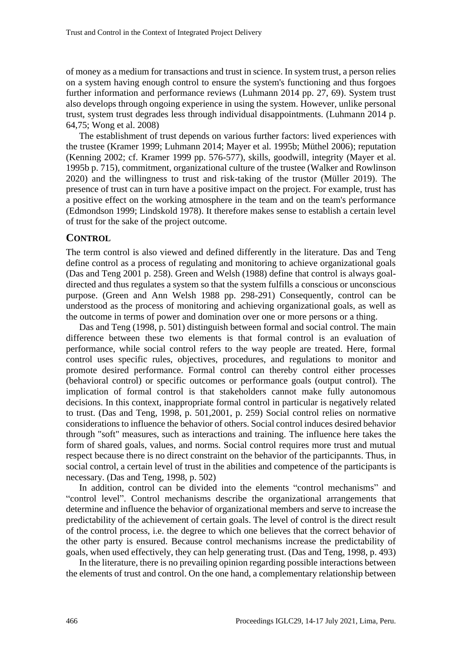of money as a medium for transactions and trust in science. In system trust, a person relies on a system having enough control to ensure the system's functioning and thus forgoes further information and performance reviews (Luhmann 2014 pp. 27, 69). System trust also develops through ongoing experience in using the system. However, unlike personal trust, system trust degrades less through individual disappointments. (Luhmann 2014 p. 64,75; Wong et al. 2008)

The establishment of trust depends on various further factors: lived experiences with the trustee (Kramer 1999; Luhmann 2014; Mayer et al. 1995b; Müthel 2006); reputation (Kenning 2002; cf. Kramer 1999 pp. 576-577), skills, goodwill, integrity (Mayer et al. 1995b p. 715), commitment, organizational culture of the trustee (Walker and Rowlinson 2020) and the willingness to trust and risk-taking of the trustor (Müller 2019). The presence of trust can in turn have a positive impact on the project. For example, trust has a positive effect on the working atmosphere in the team and on the team's performance (Edmondson 1999; Lindskold 1978). It therefore makes sense to establish a certain level of trust for the sake of the project outcome.

#### **CONTROL**

The term control is also viewed and defined differently in the literature. Das and Teng define control as a process of regulating and monitoring to achieve organizational goals (Das and Teng 2001 p. 258). Green and Welsh (1988) define that control is always goaldirected and thus regulates a system so that the system fulfills a conscious or unconscious purpose. (Green and Ann Welsh 1988 pp. 298-291) Consequently, control can be understood as the process of monitoring and achieving organizational goals, as well as the outcome in terms of power and domination over one or more persons or a thing.

Das and Teng (1998, p. 501) distinguish between formal and social control. The main difference between these two elements is that formal control is an evaluation of performance, while social control refers to the way people are treated. Here, formal control uses specific rules, objectives, procedures, and regulations to monitor and promote desired performance. Formal control can thereby control either processes (behavioral control) or specific outcomes or performance goals (output control). The implication of formal control is that stakeholders cannot make fully autonomous decisions. In this context, inappropriate formal control in particular is negatively related to trust. (Das and Teng, 1998, p. 501,2001, p. 259) Social control relies on normative considerations to influence the behavior of others. Social control induces desired behavior through "soft" measures, such as interactions and training. The influence here takes the form of shared goals, values, and norms. Social control requires more trust and mutual respect because there is no direct constraint on the behavior of the participannts. Thus, in social control, a certain level of trust in the abilities and competence of the participants is necessary. (Das and Teng, 1998, p. 502)

In addition, control can be divided into the elements "control mechanisms" and "control level". Control mechanisms describe the organizational arrangements that determine and influence the behavior of organizational members and serve to increase the predictability of the achievement of certain goals. The level of control is the direct result of the control process, i.e. the degree to which one believes that the correct behavior of the other party is ensured. Because control mechanisms increase the predictability of goals, when used effectively, they can help generating trust. (Das and Teng, 1998, p. 493)

In the literature, there is no prevailing opinion regarding possible interactions between the elements of trust and control. On the one hand, a complementary relationship between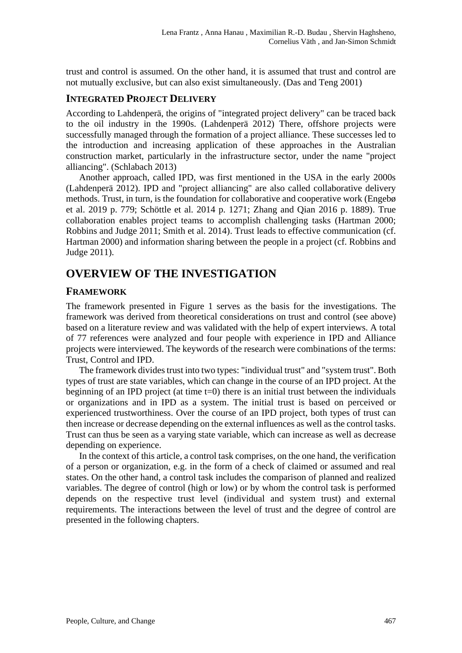trust and control is assumed. On the other hand, it is assumed that trust and control are not mutually exclusive, but can also exist simultaneously. (Das and Teng 2001)

#### **INTEGRATED PROJECT DELIVERY**

According to Lahdenperä, the origins of "integrated project delivery" can be traced back to the oil industry in the 1990s. (Lahdenperä 2012) There, offshore projects were successfully managed through the formation of a project alliance. These successes led to the introduction and increasing application of these approaches in the Australian construction market, particularly in the infrastructure sector, under the name "project alliancing". (Schlabach 2013)

Another approach, called IPD, was first mentioned in the USA in the early 2000s (Lahdenperä 2012). IPD and "project alliancing" are also called collaborative delivery methods. Trust, in turn, is the foundation for collaborative and cooperative work (Engebø et al. 2019 p. 779; Schöttle et al. 2014 p. 1271; Zhang and Qian 2016 p. 1889). True collaboration enables project teams to accomplish challenging tasks (Hartman 2000; Robbins and Judge 2011; Smith et al. 2014). Trust leads to effective communication (cf. Hartman 2000) and information sharing between the people in a project (cf. Robbins and Judge 2011).

# **OVERVIEW OF THE INVESTIGATION**

#### **FRAMEWORK**

The framework presented in [Figure 1](#page-4-0) serves as the basis for the investigations. The framework was derived from theoretical considerations on trust and control (see above) based on a literature review and was validated with the help of expert interviews. A total of 77 references were analyzed and four people with experience in IPD and Alliance projects were interviewed. The keywords of the research were combinations of the terms: Trust, Control and IPD.

The framework divides trust into two types: "individual trust" and "system trust". Both types of trust are state variables, which can change in the course of an IPD project. At the beginning of an IPD project (at time  $t=0$ ) there is an initial trust between the individuals or organizations and in IPD as a system. The initial trust is based on perceived or experienced trustworthiness. Over the course of an IPD project, both types of trust can then increase or decrease depending on the external influences as well as the control tasks. Trust can thus be seen as a varying state variable, which can increase as well as decrease depending on experience.

In the context of this article, a control task comprises, on the one hand, the verification of a person or organization, e.g. in the form of a check of claimed or assumed and real states. On the other hand, a control task includes the comparison of planned and realized variables. The degree of control (high or low) or by whom the control task is performed depends on the respective trust level (individual and system trust) and external requirements. The interactions between the level of trust and the degree of control are presented in the following chapters.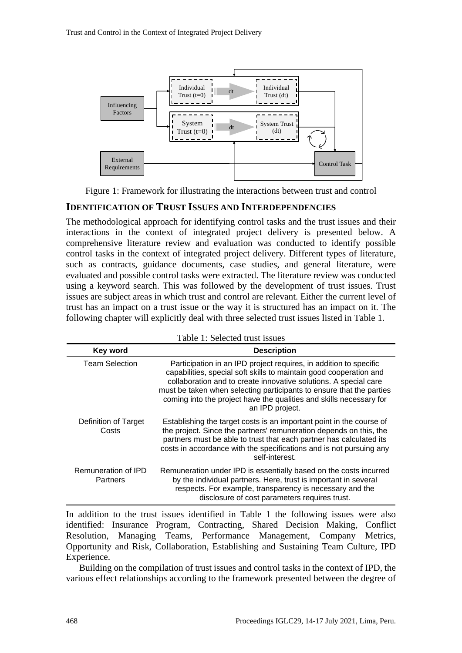

Figure 1: Framework for illustrating the interactions between trust and control

#### <span id="page-4-0"></span>**IDENTIFICATION OF TRUST ISSUES AND INTERDEPENDENCIES**

The methodological approach for identifying control tasks and the trust issues and their interactions in the context of integrated project delivery is presented below. A comprehensive literature review and evaluation was conducted to identify possible control tasks in the context of integrated project delivery. Different types of literature, such as contracts, guidance documents, case studies, and general literature, were evaluated and possible control tasks were extracted. The literature review was conducted using a keyword search. This was followed by the development of trust issues. Trust issues are subject areas in which trust and control are relevant. Either the current level of trust has an impact on a trust issue or the way it is structured has an impact on it. The following chapter will explicitly deal with three selected trust issues listed in [Table](#page-4-1) 1.

<span id="page-4-1"></span>

| Table 1: Selected trust issues  |                                                                                                                                                                                                                                                                                                                                                                               |
|---------------------------------|-------------------------------------------------------------------------------------------------------------------------------------------------------------------------------------------------------------------------------------------------------------------------------------------------------------------------------------------------------------------------------|
| Key word                        | <b>Description</b>                                                                                                                                                                                                                                                                                                                                                            |
| <b>Team Selection</b>           | Participation in an IPD project requires, in addition to specific<br>capabilities, special soft skills to maintain good cooperation and<br>collaboration and to create innovative solutions. A special care<br>must be taken when selecting participants to ensure that the parties<br>coming into the project have the qualities and skills necessary for<br>an IPD project. |
| Definition of Target<br>Costs   | Establishing the target costs is an important point in the course of<br>the project. Since the partners' remuneration depends on this, the<br>partners must be able to trust that each partner has calculated its<br>costs in accordance with the specifications and is not pursuing any<br>self-interest.                                                                    |
| Remuneration of IPD<br>Partners | Remuneration under IPD is essentially based on the costs incurred<br>by the individual partners. Here, trust is important in several<br>respects. For example, transparency is necessary and the<br>disclosure of cost parameters requires trust.                                                                                                                             |

In addition to the trust issues identified in [Table 1](#page-4-1) the following issues were also identified: Insurance Program, Contracting, Shared Decision Making, Conflict Resolution, Managing Teams, Performance Management, Company Metrics, Opportunity and Risk, Collaboration, Establishing and Sustaining Team Culture, IPD Experience.

Building on the compilation of trust issues and control tasks in the context of IPD, the various effect relationships according to the framework presented between the degree of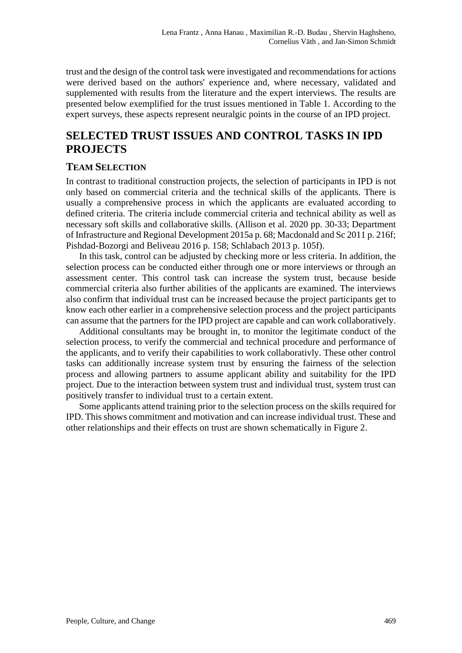trust and the design of the control task were investigated and recommendations for actions were derived based on the authors' experience and, where necessary, validated and supplemented with results from the literature and the expert interviews. The results are presented below exemplified for the trust issues mentioned in [Table 1.](#page-4-1) According to the expert surveys, these aspects represent neuralgic points in the course of an IPD project.

# **SELECTED TRUST ISSUES AND CONTROL TASKS IN IPD PROJECTS**

#### **TEAM SELECTION**

In contrast to traditional construction projects, the selection of participants in IPD is not only based on commercial criteria and the technical skills of the applicants. There is usually a comprehensive process in which the applicants are evaluated according to defined criteria. The criteria include commercial criteria and technical ability as well as necessary soft skills and collaborative skills. (Allison et al. 2020 pp. 30-33; Department of Infrastructure and Regional Development 2015a p. 68; Macdonald and Sc 2011 p. 216f; Pishdad-Bozorgi and Beliveau 2016 p. 158; Schlabach 2013 p. 105f).

In this task, control can be adjusted by checking more or less criteria. In addition, the selection process can be conducted either through one or more interviews or through an assessment center. This control task can increase the system trust, because beside commercial criteria also further abilities of the applicants are examined. The interviews also confirm that individual trust can be increased because the project participants get to know each other earlier in a comprehensive selection process and the project participants can assume that the partners for the IPD project are capable and can work collaboratively.

Additional consultants may be brought in, to monitor the legitimate conduct of the selection process, to verify the commercial and technical procedure and performance of the applicants, and to verify their capabilities to work collaborativly. These other control tasks can additionally increase system trust by ensuring the fairness of the selection process and allowing partners to assume applicant ability and suitability for the IPD project. Due to the interaction between system trust and individual trust, system trust can positively transfer to individual trust to a certain extent.

Some applicants attend training prior to the selection process on the skills required for IPD. This shows commitment and motivation and can increase individual trust. These and other relationships and their effects on trust are shown schematically in Figure 2.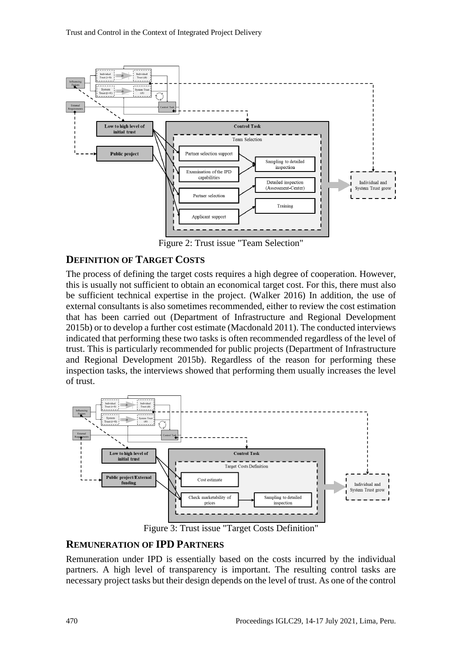

Figure 2: Trust issue "Team Selection"

#### **DEFINITION OF TARGET COSTS**

The process of defining the target costs requires a high degree of cooperation. However, this is usually not sufficient to obtain an economical target cost. For this, there must also be sufficient technical expertise in the project. (Walker 2016) In addition, the use of external consultants is also sometimes recommended, either to review the cost estimation that has been carried out (Department of Infrastructure and Regional Development 2015b) or to develop a further cost estimate (Macdonald 2011). The conducted interviews indicated that performing these two tasks is often recommended regardless of the level of trust. This is particularly recommended for public projects (Department of Infrastructure and Regional Development 2015b). Regardless of the reason for performing these inspection tasks, the interviews showed that performing them usually increases the level of trust.



Figure 3: Trust issue "Target Costs Definition"

#### **REMUNERATION OF IPD PARTNERS**

Remuneration under IPD is essentially based on the costs incurred by the individual partners. A high level of transparency is important. The resulting control tasks are necessary project tasks but their design depends on the level of trust. As one of the control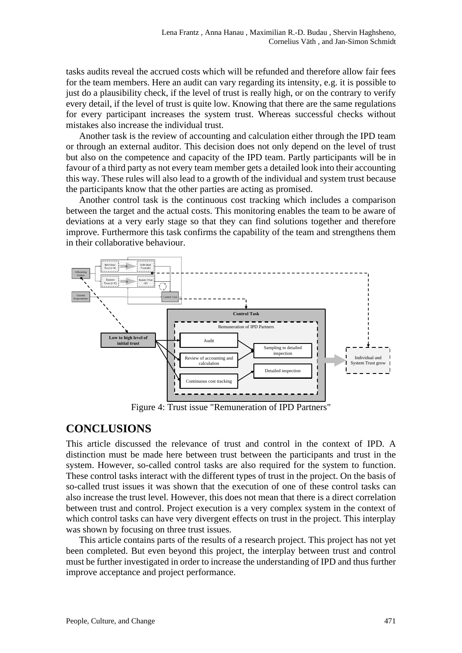tasks audits reveal the accrued costs which will be refunded and therefore allow fair fees for the team members. Here an audit can vary regarding its intensity, e.g. it is possible to just do a plausibility check, if the level of trust is really high, or on the contrary to verify every detail, if the level of trust is quite low. Knowing that there are the same regulations for every participant increases the system trust. Whereas successful checks without mistakes also increase the individual trust.

Another task is the review of accounting and calculation either through the IPD team or through an external auditor. This decision does not only depend on the level of trust but also on the competence and capacity of the IPD team. Partly participants will be in favour of a third party as not every team member gets a detailed look into their accounting this way. These rules will also lead to a growth of the individual and system trust because the participants know that the other parties are acting as promised.

Another control task is the continuous cost tracking which includes a comparison between the target and the actual costs. This monitoring enables the team to be aware of deviations at a very early stage so that they can find solutions together and therefore improve. Furthermore this task confirms the capability of the team and strengthens them in their collaborative behaviour.



Figure 4: Trust issue "Remuneration of IPD Partners"

### **CONCLUSIONS**

This article discussed the relevance of trust and control in the context of IPD. A distinction must be made here between trust between the participants and trust in the system. However, so-called control tasks are also required for the system to function. These control tasks interact with the different types of trust in the project. On the basis of so-called trust issues it was shown that the execution of one of these control tasks can also increase the trust level. However, this does not mean that there is a direct correlation between trust and control. Project execution is a very complex system in the context of which control tasks can have very divergent effects on trust in the project. This interplay was shown by focusing on three trust issues.

This article contains parts of the results of a research project. This project has not yet been completed. But even beyond this project, the interplay between trust and control must be further investigated in order to increase the understanding of IPD and thus further improve acceptance and project performance.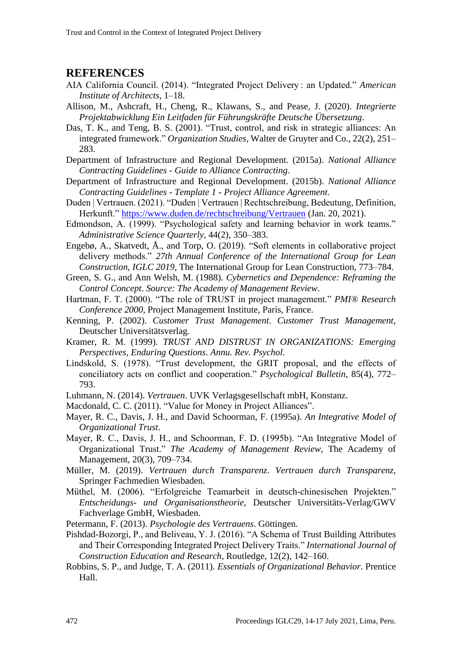# **REFERENCES**

- AIA California Council. (2014). "Integrated Project Delivery : an Updated." *American Institute of Architects*, 1–18.
- Allison, M., Ashcraft, H., Cheng, R., Klawans, S., and Pease, J. (2020). *Integrierte Projektabwicklung Ein Leitfaden für Führungskräfte Deutsche Übersetzung*.
- Das, T. K., and Teng, B. S. (2001). "Trust, control, and risk in strategic alliances: An integrated framework." *Organization Studies*, Walter de Gruyter and Co., 22(2), 251– 283.
- Department of Infrastructure and Regional Development. (2015a). *National Alliance Contracting Guidelines - Guide to Alliance Contracting*.
- Department of Infrastructure and Regional Development. (2015b). *National Alliance Contracting Guidelines - Template 1 - Project Alliance Agreement*.
- Duden | Vertrauen. (2021). "Duden | Vertrauen | Rechtschreibung, Bedeutung, Definition, Herkunft." <https://www.duden.de/rechtschreibung/Vertrauen> (Jan. 20, 2021).
- Edmondson, A. (1999). "Psychological safety and learning behavior in work teams." *Administrative Science Quarterly*, 44(2), 350–383.
- Engebø, A., Skatvedt, Å., and Torp, O. (2019). "Soft elements in collaborative project delivery methods." *27th Annual Conference of the International Group for Lean Construction, IGLC 2019*, The International Group for Lean Construction, 773–784.
- Green, S. G., and Ann Welsh, M. (1988). *Cybernetics and Dependence: Reframing the Control Concept*. *Source: The Academy of Management Review*.
- Hartman, F. T. (2000). "The role of TRUST in project management." *PMI® Research Conference 2000*, Project Management Institute, Paris, France.
- Kenning, P. (2002). *Customer Trust Management*. *Customer Trust Management*, Deutscher Universitätsverlag.
- Kramer, R. M. (1999). *TRUST AND DISTRUST IN ORGANIZATIONS: Emerging Perspectives, Enduring Questions*. *Annu. Rev. Psychol*.
- Lindskold, S. (1978). "Trust development, the GRIT proposal, and the effects of conciliatory acts on conflict and cooperation." *Psychological Bulletin*, 85(4), 772– 793.
- Luhmann, N. (2014). *Vertrauen*. UVK Verlagsgesellschaft mbH, Konstanz.
- Macdonald, C. C. (2011). "Value for Money in Project Alliances".
- Mayer, R. C., Davis, J. H., and David Schoorman, F. (1995a). *An Integrative Model of Organizational Trust*.
- Mayer, R. C., Davis, J. H., and Schoorman, F. D. (1995b). "An Integrative Model of Organizational Trust." *The Academy of Management Review*, The Academy of Management, 20(3), 709–734.
- Müller, M. (2019). *Vertrauen durch Transparenz*. *Vertrauen durch Transparenz*, Springer Fachmedien Wiesbaden.
- Müthel, M. (2006). "Erfolgreiche Teamarbeit in deutsch-chinesischen Projekten." *Entscheidungs- und Organisationstheorie*, Deutscher Universitäts-Verlag/GWV Fachverlage GmbH, Wiesbaden.
- Petermann, F. (2013). *Psychologie des Vertrauens*. Göttingen.
- Pishdad-Bozorgi, P., and Beliveau, Y. J. (2016). "A Schema of Trust Building Attributes and Their Corresponding Integrated Project Delivery Traits." *International Journal of Construction Education and Research*, Routledge, 12(2), 142–160.
- Robbins, S. P., and Judge, T. A. (2011). *Essentials of Organizational Behavior*. Prentice Hall.